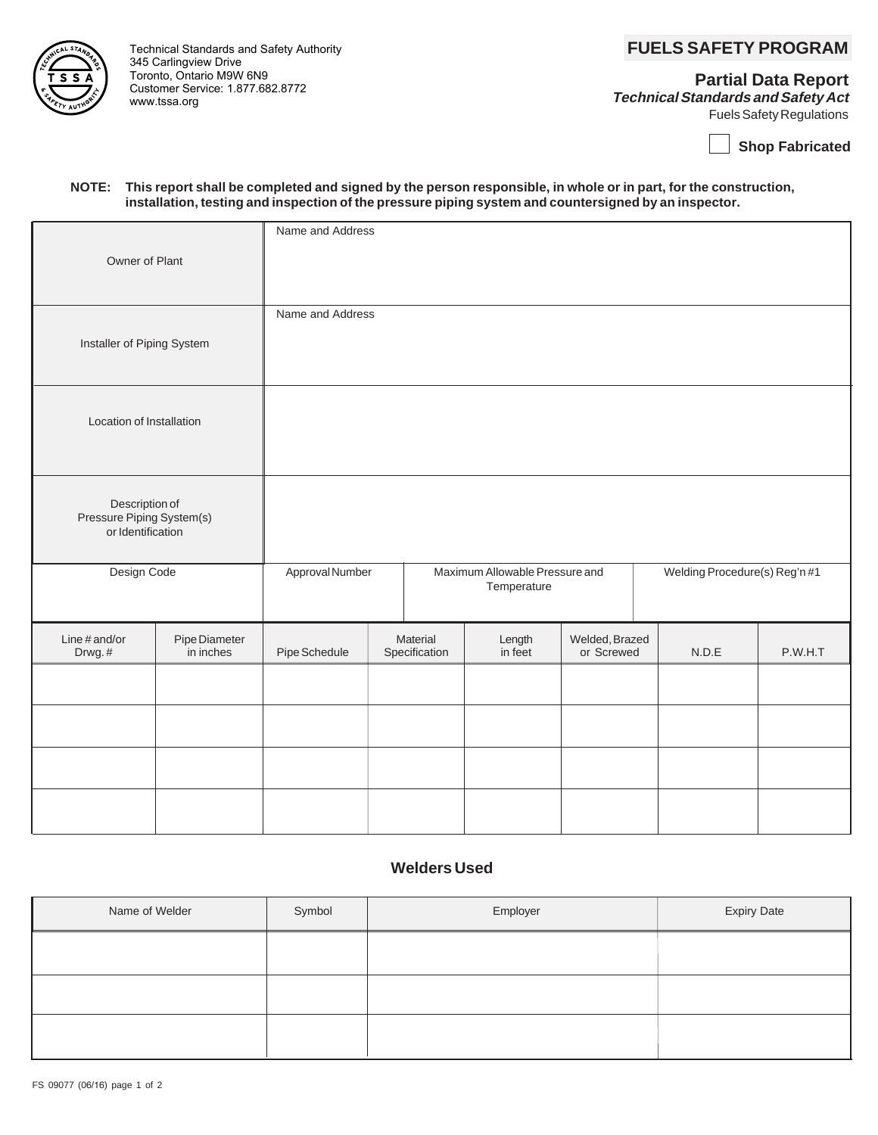

345 Carlingview Drive Toronto, Ontario M9W 6N9 Customer Service: 1.877.682.8772 www.tssa.org

# Technical Standards and Safety Authority **FUELS SAFETY PROGRAM**

**Partial Data Report**

**Technical Standards and Safety Act**

Fuels Safety Regulations

**Shop Fabricated**

### **NOTE: This report shall be completed and signed by the person responsible, in whole or in part, for the construction, installation, testing and inspection of the pressure piping system and countersigned by an inspector.**

| Owner of Plant                                                   |                            | Name and Address                                                 |  |                           |                               |                              |       |         |
|------------------------------------------------------------------|----------------------------|------------------------------------------------------------------|--|---------------------------|-------------------------------|------------------------------|-------|---------|
| Installer of Piping System                                       |                            | Name and Address                                                 |  |                           |                               |                              |       |         |
| Location of Installation                                         |                            |                                                                  |  |                           |                               |                              |       |         |
| Description of<br>Pressure Piping System(s)<br>or Identification |                            |                                                                  |  |                           |                               |                              |       |         |
| Design Code                                                      |                            | Approval Number<br>Maximum Allowable Pressure and<br>Temperature |  |                           | Welding Procedure(s) Reg'n #1 |                              |       |         |
| Line # and/or<br>Drwg.#                                          | Pipe Diameter<br>in inches | Pipe Schedule                                                    |  | Material<br>Specification | Length<br>in feet             | Welded, Brazed<br>or Screwed | N.D.E | P.W.H.T |
|                                                                  |                            |                                                                  |  |                           |                               |                              |       |         |
|                                                                  |                            |                                                                  |  |                           |                               |                              |       |         |
|                                                                  |                            |                                                                  |  |                           |                               |                              |       |         |
|                                                                  |                            |                                                                  |  |                           |                               |                              |       |         |

## **Welders Used**

| Name of Welder | Symbol | Employer | <b>Expiry Date</b> |
|----------------|--------|----------|--------------------|
|                |        |          |                    |
|                |        |          |                    |
|                |        |          |                    |
|                |        |          |                    |